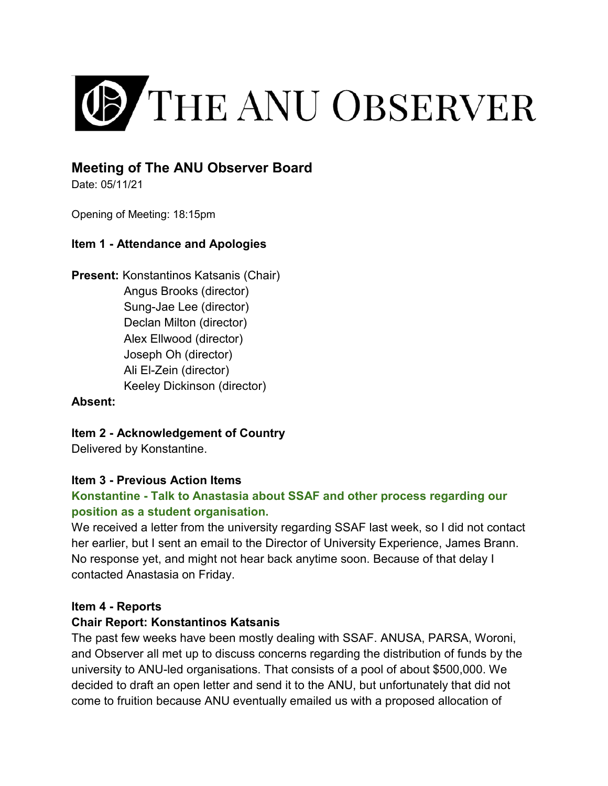

# **Meeting of The ANU Observer Board**

Date: 05/11/21

Opening of Meeting: 18:15pm

#### **Item 1 - Attendance and Apologies**

**Present:** Konstantinos Katsanis (Chair) Angus Brooks (director) Sung-Jae Lee (director) Declan Milton (director) Alex Ellwood (director) Joseph Oh (director) Ali El-Zein (director) Keeley Dickinson (director)

#### **Absent:**

**Item 2 - Acknowledgement of Country**

Delivered by Konstantine.

#### **Item 3 - Previous Action Items**

## **Konstantine - Talk to Anastasia about SSAF and other process regarding our position as a student organisation.**

We received a letter from the university regarding SSAF last week, so I did not contact her earlier, but I sent an email to the Director of University Experience, James Brann. No response yet, and might not hear back anytime soon. Because of that delay I contacted Anastasia on Friday.

#### **Item 4 - Reports**

#### **Chair Report: Konstantinos Katsanis**

The past few weeks have been mostly dealing with SSAF. ANUSA, PARSA, Woroni, and Observer all met up to discuss concerns regarding the distribution of funds by the university to ANU-led organisations. That consists of a pool of about \$500,000. We decided to draft an open letter and send it to the ANU, but unfortunately that did not come to fruition because ANU eventually emailed us with a proposed allocation of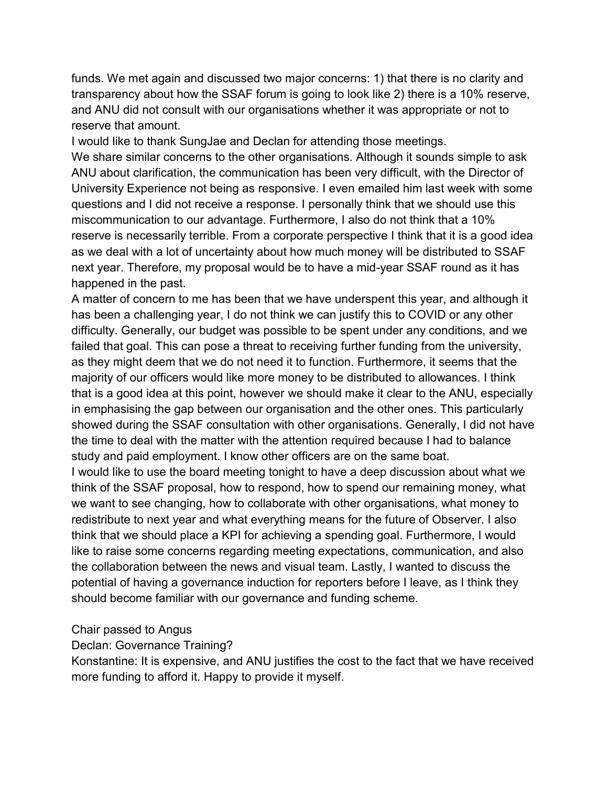funds. We met again and discussed two major concerns: 1) that there is no clarity and transparency about how the SSAF forum is going to look like 2) there is a 10% reserve, and ANU did not consult with our organisations whether it was appropriate or not to reserve that amount.

I would like to thank SungJae and Declan for attending those meetings.

We share similar concerns to the other organisations. Although it sounds simple to ask ANU about clarification, the communication has been very difficult, with the Director of University Experience not being as responsive. I even emailed him last week with some questions and I did not receive a response. I personally think that we should use this miscommunication to our advantage. Furthermore, I also do not think that a 10% reserve is necessarily terrible. From a corporate perspective I think that it is a good idea as we deal with a lot of uncertainty about how much money will be distributed to SSAF next year. Therefore, my proposal would be to have a mid-year SSAF round as it has happened in the past.

A matter of concern to me has been that we have underspent this year, and although it has been a challenging year, I do not think we can justify this to COVID or any other difficulty. Generally, our budget was possible to be spent under any conditions, and we failed that goal. This can pose a threat to receiving further funding from the university, as they might deem that we do not need it to function. Furthermore, it seems that the majority of our officers would like more money to be distributed to allowances. I think that is a good idea at this point, however we should make it clear to the ANU, especially in emphasising the gap between our organisation and the other ones. This particularly showed during the SSAF consultation with other organisations. Generally, I did not have the time to deal with the matter with the attention required because I had to balance study and paid employment. I know other officers are on the same boat.

I would like to use the board meeting tonight to have a deep discussion about what we think of the SSAF proposal, how to respond, how to spend our remaining money, what we want to see changing, how to collaborate with other organisations, what money to redistribute to next year and what everything means for the future of Observer. I also think that we should place a KPI for achieving a spending goal. Furthermore, I would like to raise some concerns regarding meeting expectations, communication, and also the collaboration between the news and visual team. Lastly, I wanted to discuss the potential of having a governance induction for reporters before I leave, as I think they should become familiar with our governance and funding scheme.

#### Chair passed to Angus

Declan: Governance Training?

Konstantine: It is expensive, and ANU justifies the cost to the fact that we have received more funding to afford it. Happy to provide it myself.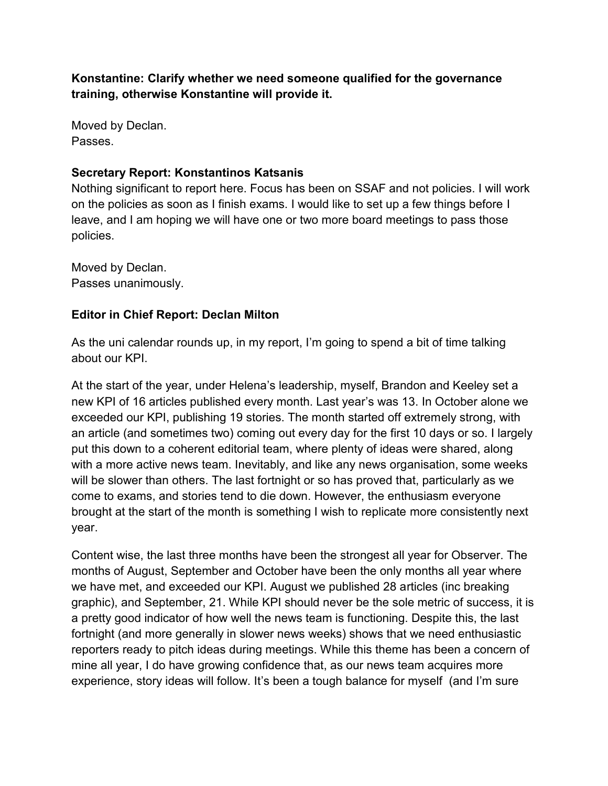**Konstantine: Clarify whether we need someone qualified for the governance training, otherwise Konstantine will provide it.** 

Moved by Declan. Passes.

### **Secretary Report: Konstantinos Katsanis**

Nothing significant to report here. Focus has been on SSAF and not policies. I will work on the policies as soon as I finish exams. I would like to set up a few things before I leave, and I am hoping we will have one or two more board meetings to pass those policies.

Moved by Declan. Passes unanimously.

## **Editor in Chief Report: Declan Milton**

As the uni calendar rounds up, in my report, I'm going to spend a bit of time talking about our KPI.

At the start of the year, under Helena's leadership, myself, Brandon and Keeley set a new KPI of 16 articles published every month. Last year's was 13. In October alone we exceeded our KPI, publishing 19 stories. The month started off extremely strong, with an article (and sometimes two) coming out every day for the first 10 days or so. I largely put this down to a coherent editorial team, where plenty of ideas were shared, along with a more active news team. Inevitably, and like any news organisation, some weeks will be slower than others. The last fortnight or so has proved that, particularly as we come to exams, and stories tend to die down. However, the enthusiasm everyone brought at the start of the month is something I wish to replicate more consistently next year.

Content wise, the last three months have been the strongest all year for Observer. The months of August, September and October have been the only months all year where we have met, and exceeded our KPI. August we published 28 articles (inc breaking graphic), and September, 21. While KPI should never be the sole metric of success, it is a pretty good indicator of how well the news team is functioning. Despite this, the last fortnight (and more generally in slower news weeks) shows that we need enthusiastic reporters ready to pitch ideas during meetings. While this theme has been a concern of mine all year, I do have growing confidence that, as our news team acquires more experience, story ideas will follow. It's been a tough balance for myself (and I'm sure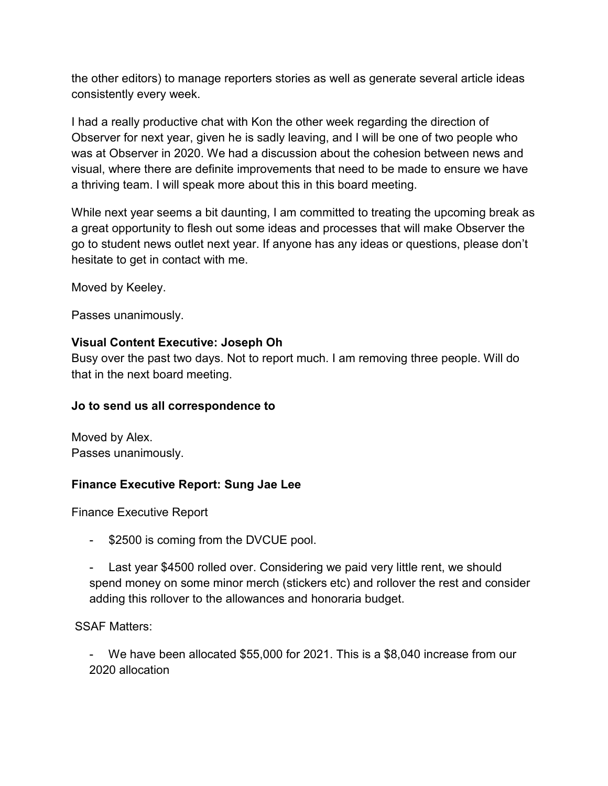the other editors) to manage reporters stories as well as generate several article ideas consistently every week.

I had a really productive chat with Kon the other week regarding the direction of Observer for next year, given he is sadly leaving, and I will be one of two people who was at Observer in 2020. We had a discussion about the cohesion between news and visual, where there are definite improvements that need to be made to ensure we have a thriving team. I will speak more about this in this board meeting.

While next year seems a bit daunting, I am committed to treating the upcoming break as a great opportunity to flesh out some ideas and processes that will make Observer the go to student news outlet next year. If anyone has any ideas or questions, please don't hesitate to get in contact with me.

Moved by Keeley.

Passes unanimously.

### **Visual Content Executive: Joseph Oh**

Busy over the past two days. Not to report much. I am removing three people. Will do that in the next board meeting.

### **Jo to send us all correspondence to**

Moved by Alex. Passes unanimously.

### **Finance Executive Report: Sung Jae Lee**

Finance Executive Report

- \$2500 is coming from the DVCUE pool.
- Last year \$4500 rolled over. Considering we paid very little rent, we should spend money on some minor merch (stickers etc) and rollover the rest and consider adding this rollover to the allowances and honoraria budget.

SSAF Matters:

We have been allocated \$55,000 for 2021. This is a \$8,040 increase from our 2020 allocation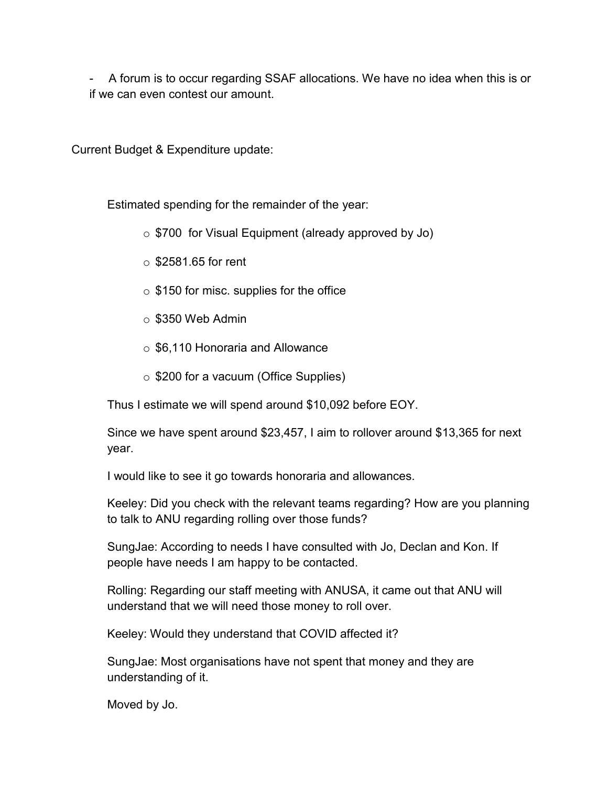- A forum is to occur regarding SSAF allocations. We have no idea when this is or if we can even contest our amount.

Current Budget & Expenditure update:

Estimated spending for the remainder of the year:

 $\circ$  \$700 for Visual Equipment (already approved by Jo)

- $\circ$  \$2581.65 for rent
- $\circ$  \$150 for misc. supplies for the office
- $\circ$  \$350 Web Admin
- o \$6,110 Honoraria and Allowance
- o \$200 for a vacuum (Office Supplies)

Thus I estimate we will spend around \$10,092 before EOY.

Since we have spent around \$23,457, I aim to rollover around \$13,365 for next year.

I would like to see it go towards honoraria and allowances.

Keeley: Did you check with the relevant teams regarding? How are you planning to talk to ANU regarding rolling over those funds?

SungJae: According to needs I have consulted with Jo, Declan and Kon. If people have needs I am happy to be contacted.

Rolling: Regarding our staff meeting with ANUSA, it came out that ANU will understand that we will need those money to roll over.

Keeley: Would they understand that COVID affected it?

SungJae: Most organisations have not spent that money and they are understanding of it.

Moved by Jo.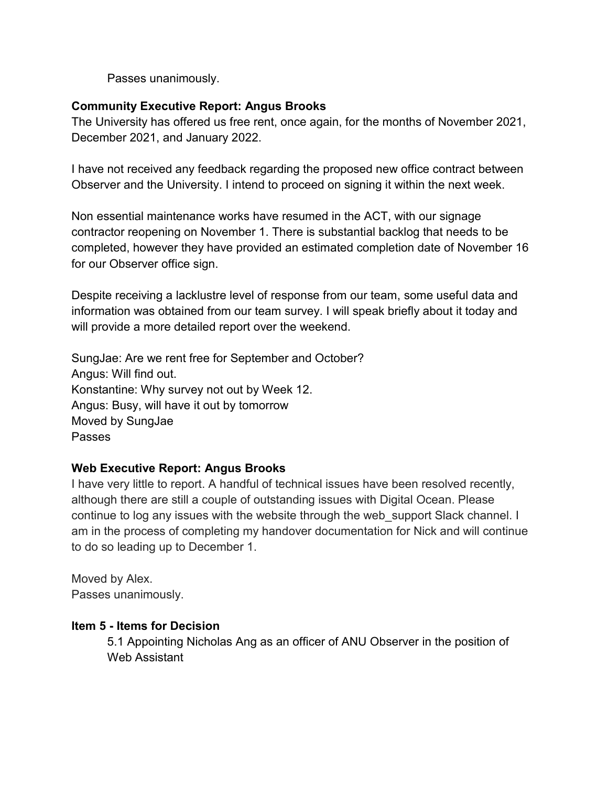Passes unanimously.

### **Community Executive Report: Angus Brooks**

The University has offered us free rent, once again, for the months of November 2021, December 2021, and January 2022.

I have not received any feedback regarding the proposed new office contract between Observer and the University. I intend to proceed on signing it within the next week.

Non essential maintenance works have resumed in the ACT, with our signage contractor reopening on November 1. There is substantial backlog that needs to be completed, however they have provided an estimated completion date of November 16 for our Observer office sign.

Despite receiving a lacklustre level of response from our team, some useful data and information was obtained from our team survey. I will speak briefly about it today and will provide a more detailed report over the weekend.

SungJae: Are we rent free for September and October? Angus: Will find out. Konstantine: Why survey not out by Week 12. Angus: Busy, will have it out by tomorrow Moved by SungJae Passes

## **Web Executive Report: Angus Brooks**

I have very little to report. A handful of technical issues have been resolved recently, although there are still a couple of outstanding issues with Digital Ocean. Please continue to log any issues with the website through the web\_support Slack channel. I am in the process of completing my handover documentation for Nick and will continue to do so leading up to December 1.

Moved by Alex. Passes unanimously.

### **Item 5 - Items for Decision**

5.1 Appointing Nicholas Ang as an officer of ANU Observer in the position of Web Assistant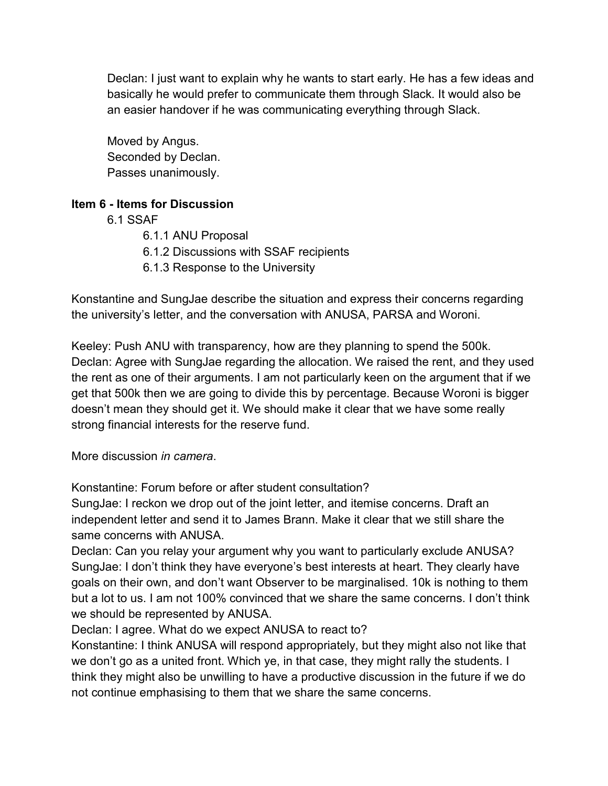Declan: I just want to explain why he wants to start early. He has a few ideas and basically he would prefer to communicate them through Slack. It would also be an easier handover if he was communicating everything through Slack.

Moved by Angus. Seconded by Declan. Passes unanimously.

### **Item 6 - Items for Discussion**

- 6.1 SSAF
	- 6.1.1 ANU Proposal
	- 6.1.2 Discussions with SSAF recipients
	- 6.1.3 Response to the University

Konstantine and SungJae describe the situation and express their concerns regarding the university's letter, and the conversation with ANUSA, PARSA and Woroni.

Keeley: Push ANU with transparency, how are they planning to spend the 500k. Declan: Agree with SungJae regarding the allocation. We raised the rent, and they used the rent as one of their arguments. I am not particularly keen on the argument that if we get that 500k then we are going to divide this by percentage. Because Woroni is bigger doesn't mean they should get it. We should make it clear that we have some really strong financial interests for the reserve fund.

More discussion *in camera*.

Konstantine: Forum before or after student consultation?

SungJae: I reckon we drop out of the joint letter, and itemise concerns. Draft an independent letter and send it to James Brann. Make it clear that we still share the same concerns with ANUSA.

Declan: Can you relay your argument why you want to particularly exclude ANUSA? SungJae: I don't think they have everyone's best interests at heart. They clearly have goals on their own, and don't want Observer to be marginalised. 10k is nothing to them but a lot to us. I am not 100% convinced that we share the same concerns. I don't think we should be represented by ANUSA.

Declan: I agree. What do we expect ANUSA to react to?

Konstantine: I think ANUSA will respond appropriately, but they might also not like that we don't go as a united front. Which ye, in that case, they might rally the students. I think they might also be unwilling to have a productive discussion in the future if we do not continue emphasising to them that we share the same concerns.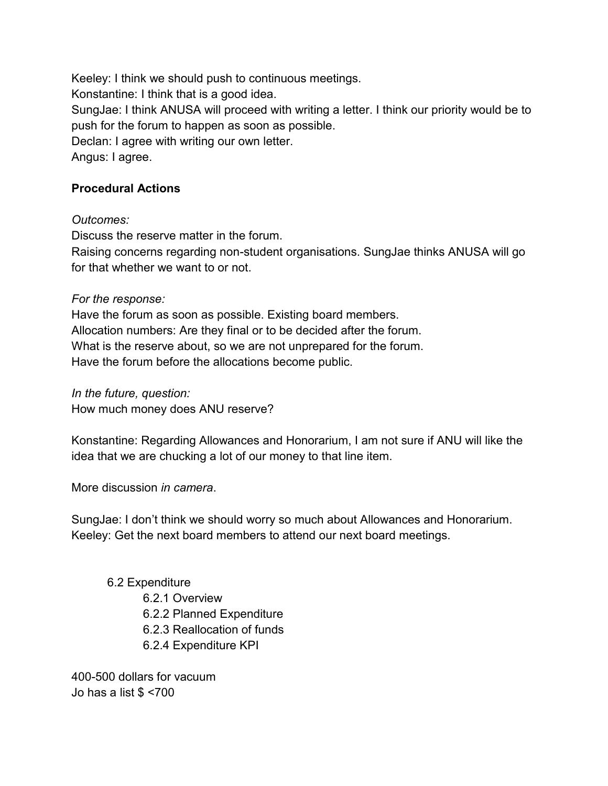Keeley: I think we should push to continuous meetings. Konstantine: I think that is a good idea. SungJae: I think ANUSA will proceed with writing a letter. I think our priority would be to push for the forum to happen as soon as possible. Declan: I agree with writing our own letter. Angus: I agree.

## **Procedural Actions**

*Outcomes:* 

Discuss the reserve matter in the forum.

Raising concerns regarding non-student organisations. SungJae thinks ANUSA will go for that whether we want to or not.

#### *For the response:*

Have the forum as soon as possible. Existing board members. Allocation numbers: Are they final or to be decided after the forum. What is the reserve about, so we are not unprepared for the forum. Have the forum before the allocations become public.

*In the future, question:*  How much money does ANU reserve?

Konstantine: Regarding Allowances and Honorarium, I am not sure if ANU will like the idea that we are chucking a lot of our money to that line item.

More discussion *in camera*.

SungJae: I don't think we should worry so much about Allowances and Honorarium. Keeley: Get the next board members to attend our next board meetings.

### 6.2 Expenditure

 6.2.1 Overview 6.2.2 Planned Expenditure 6.2.3 Reallocation of funds 6.2.4 Expenditure KPI

400-500 dollars for vacuum Jo has a list \$ <700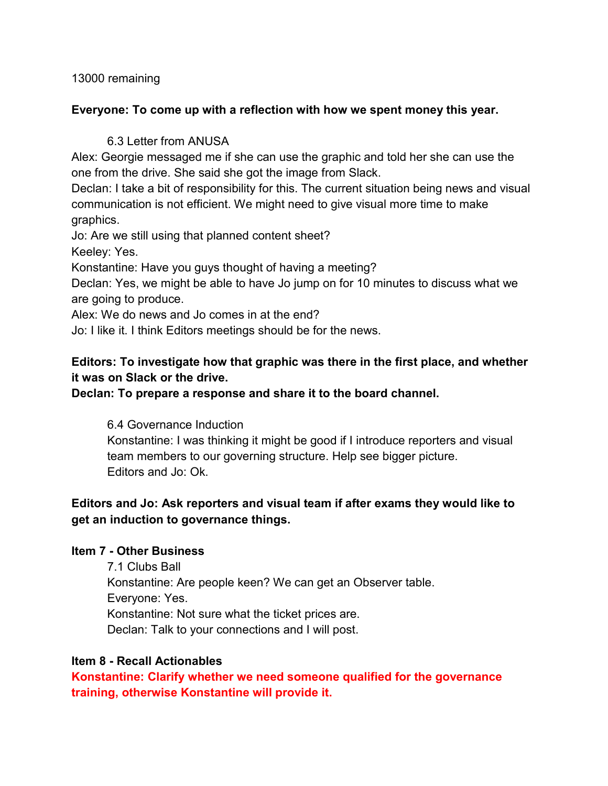13000 remaining

### **Everyone: To come up with a reflection with how we spent money this year.**

## 6.3 Letter from ANUSA

Alex: Georgie messaged me if she can use the graphic and told her she can use the one from the drive. She said she got the image from Slack.

Declan: I take a bit of responsibility for this. The current situation being news and visual communication is not efficient. We might need to give visual more time to make graphics.

Jo: Are we still using that planned content sheet?

Keeley: Yes.

Konstantine: Have you guys thought of having a meeting?

Declan: Yes, we might be able to have Jo jump on for 10 minutes to discuss what we are going to produce.

Alex: We do news and Jo comes in at the end?

Jo: I like it. I think Editors meetings should be for the news.

# **Editors: To investigate how that graphic was there in the first place, and whether it was on Slack or the drive.**

## **Declan: To prepare a response and share it to the board channel.**

6.4 Governance Induction

Konstantine: I was thinking it might be good if I introduce reporters and visual team members to our governing structure. Help see bigger picture. Editors and Jo: Ok.

## **Editors and Jo: Ask reporters and visual team if after exams they would like to get an induction to governance things.**

## **Item 7 - Other Business**

7.1 Clubs Ball Konstantine: Are people keen? We can get an Observer table. Everyone: Yes. Konstantine: Not sure what the ticket prices are. Declan: Talk to your connections and I will post.

## **Item 8 - Recall Actionables**

**Konstantine: Clarify whether we need someone qualified for the governance training, otherwise Konstantine will provide it.**